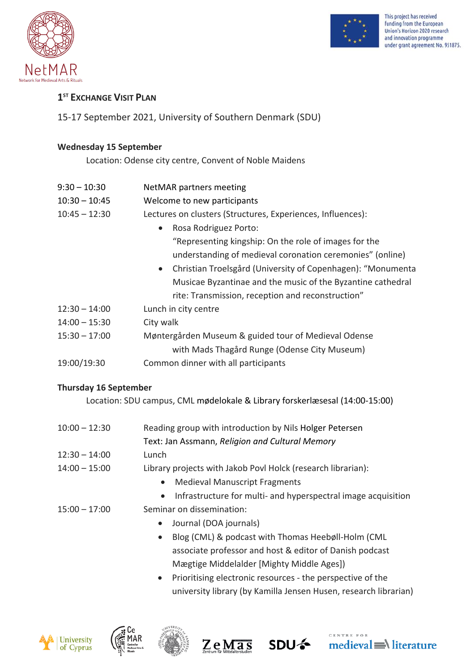



## **1 ST EXCHANGE VISIT PLAN**

15-17 September 2021, University of Southern Denmark (SDU)

## **Wednesday 15 September**

Location: Odense city centre, Convent of Noble Maidens

- 9:30 10:30 NetMAR partners meeting
- 10:30 10:45 Welcome to new participants
- 10:45 12:30 Lectures on clusters (Structures, Experiences, Influences):
	- Rosa Rodriguez Porto: "Representing kingship: On the role of images for the understanding of medieval coronation ceremonies" (online)
	- Christian Troelsgård (University of Copenhagen): "Monumenta Musicae Byzantinae and the music of the Byzantine cathedral rite: Transmission, reception and reconstruction"
- 12:30 14:00 Lunch in city centre
- 14:00 15:30 City walk
- 15:30 17:00 Møntergården Museum & guided tour of Medieval Odense with Mads Thagård Runge (Odense City Museum)
- 19:00/19:30 Common dinner with all participants

## **Thursday 16 September**

Location: SDU campus, CML mødelokale & Library forskerlæsesal (14:00-15:00)

- 10:00 12:30 Reading group with introduction by Nils Holger Petersen Text: Jan Assmann, *Religion and Cultural Memory* 12:30 – 14:00 Lunch
- 14:00 15:00 Library projects with Jakob Povl Holck (research librarian):
	- Medieval Manuscript Fragments
	- Infrastructure for multi- and hyperspectral image acquisition
- 15:00 17:00 Seminar on dissemination:
	- Journal (DOA journals)
	- Blog (CML) & podcast with Thomas Heebøll-Holm (CML associate professor and host & editor of Danish podcast Mægtige Middelalder [Mighty Middle Ages])
	- Prioritising electronic resources the perspective of the university library (by Kamilla Jensen Husen, research librarian)